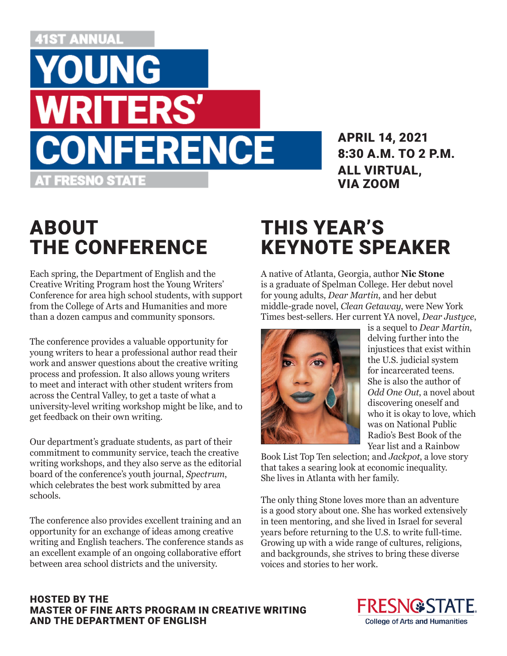### **i1st Annual**



APRIL 14, 2021 8:30 A.M. TO 2 P.M. ALL VIRTUAL, VIA ZOOM

# ABOUT THE CONFERENCE

Each spring, the Department of English and the Creative Writing Program host the Young Writers' Conference for area high school students, with support from the College of Arts and Humanities and more than a dozen campus and community sponsors.

The conference provides a valuable opportunity for young writers to hear a professional author read their work and answer questions about the creative writing process and profession. It also allows young writers to meet and interact with other student writers from across the Central Valley, to get a taste of what a university-level writing workshop might be like, and to get feedback on their own writing.

Our department's graduate students, as part of their commitment to community service, teach the creative writing workshops, and they also serve as the editorial board of the conference's youth journal, *Spectrum*, which celebrates the best work submitted by area schools.

The conference also provides excellent training and an opportunity for an exchange of ideas among creative writing and English teachers. The conference stands as an excellent example of an ongoing collaborative effort between area school districts and the university.

# THIS YEAR'S KEYNOTE SPEAKER

A native of Atlanta, Georgia, author **Nic Stone** is a graduate of Spelman College. Her debut novel for young adults, *Dear Martin*, and her debut middle-grade novel, *Clean Getaway*, were New York Times best-sellers. Her current YA novel, *Dear Justyce*,



is a sequel to *Dear Martin*, delving further into the injustices that exist within the U.S. judicial system for incarcerated teens. She is also the author of *Odd One Out*, a novel about discovering oneself and who it is okay to love, which was on National Public Radio's Best Book of the Year list and a Rainbow

Book List Top Ten selection; and *Jackpot*, a love story that takes a searing look at economic inequality. She lives in Atlanta with her family.

The only thing Stone loves more than an adventure is a good story about one. She has worked extensively in teen mentoring, and she lived in Israel for several years before returning to the U.S. to write full-time. Growing up with a wide range of cultures, religions, and backgrounds, she strives to bring these diverse voices and stories to her work.

#### HOSTED BY THE MASTER OF FINE ARTS PROGRAM IN CREATIVE WRITING AND THE DEPARTMENT OF ENGLISH